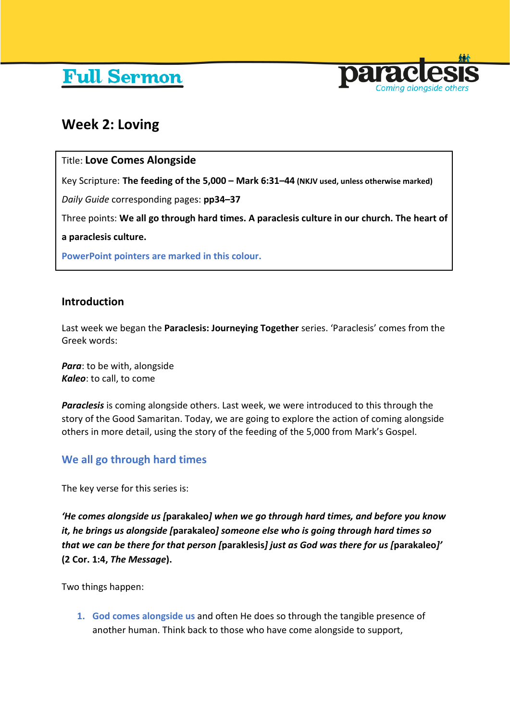# **Full Sermon**



# **Week 2: Loving**

# Title: **Love Comes Alongside**

Key Scripture: **The feeding of the 5,000 – Mark 6:31–44 (NKJV used, unless otherwise marked)**

*Daily Guide* corresponding pages: **pp34–37**

Three points: **We all go through hard times. A paraclesis culture in our church. The heart of** 

**a paraclesis culture.**

**PowerPoint pointers are marked in this colour.**

### **Introduction**

Last week we began the **Paraclesis: Journeying Together** series. 'Paraclesis' comes from the Greek words:

*Para*: to be with, alongside *Kaleo*: to call, to come

*Paraclesis* is coming alongside others. Last week, we were introduced to this through the story of the Good Samaritan. Today, we are going to explore the action of coming alongside others in more detail, using the story of the feeding of the 5,000 from Mark's Gospel.

# **We all go through hard times**

The key verse for this series is:

*'He comes alongside us [***parakaleo***] when we go through hard times, and before you know it, he brings us alongside [***parakaleo***] someone else who is going through hard times so that we can be there for that person [***paraklesis***] just as God was there for us [***parakaleo***]'* **(2 Cor. 1:4,** *The Message***).**

Two things happen:

**1. God comes alongside us** and often He does so through the tangible presence of another human. Think back to those who have come alongside to support,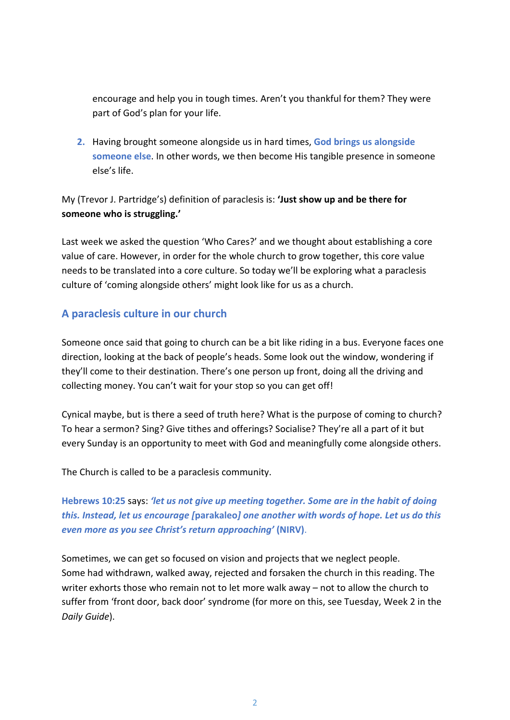encourage and help you in tough times. Aren't you thankful for them? They were part of God's plan for your life.

**2.** Having brought someone alongside us in hard times, **God brings us alongside someone else**. In other words, we then become His tangible presence in someone else's life.

# My (Trevor J. Partridge's) definition of paraclesis is: **'Just show up and be there for someone who is struggling.'**

Last week we asked the question 'Who Cares?' and we thought about establishing a core value of care. However, in order for the whole church to grow together, this core value needs to be translated into a core culture. So today we'll be exploring what a paraclesis culture of 'coming alongside others' might look like for us as a church.

# **A paraclesis culture in our church**

Someone once said that going to church can be a bit like riding in a bus. Everyone faces one direction, looking at the back of people's heads. Some look out the window, wondering if they'll come to their destination. There's one person up front, doing all the driving and collecting money. You can't wait for your stop so you can get off!

Cynical maybe, but is there a seed of truth here? What is the purpose of coming to church? To hear a sermon? Sing? Give tithes and offerings? Socialise? They're all a part of it but every Sunday is an opportunity to meet with God and meaningfully come alongside others.

The Church is called to be a paraclesis community.

**Hebrews 10:25** says: *'let us not give up meeting together. Some are in the habit of doing this. Instead, let us encourage [***parakaleo***] one another with words of hope. Let us do this even more as you see Christ's return approaching'* **(NIRV)**.

Sometimes, we can get so focused on vision and projects that we neglect people. Some had withdrawn, walked away, rejected and forsaken the church in this reading. The writer exhorts those who remain not to let more walk away – not to allow the church to suffer from 'front door, back door' syndrome (for more on this, see Tuesday, Week 2 in the *Daily Guide*).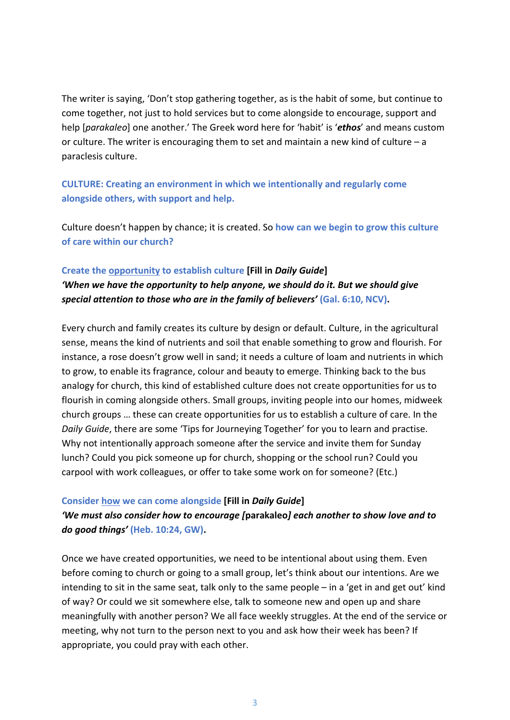The writer is saying, 'Don't stop gathering together, as is the habit of some, but continue to come together, not just to hold services but to come alongside to encourage, support and help [*parakaleo*] one another.' The Greek word here for 'habit' is '*ethos*' and means custom or culture. The writer is encouraging them to set and maintain a new kind of culture – a paraclesis culture.

**CULTURE: Creating an environment in which we intentionally and regularly come alongside others, with support and help.**

Culture doesn't happen by chance; it is created. So **how can we begin to grow this culture of care within our church?** 

#### **Create the opportunity to establish culture [Fill in** *Daily Guide***]**

*'When we have the opportunity to help anyone, we should do it. But we should give special attention to those who are in the family of believers'* **(Gal. 6:10, NCV).**

Every church and family creates its culture by design or default. Culture, in the agricultural sense, means the kind of nutrients and soil that enable something to grow and flourish. For instance, a rose doesn't grow well in sand; it needs a culture of loam and nutrients in which to grow, to enable its fragrance, colour and beauty to emerge. Thinking back to the bus analogy for church, this kind of established culture does not create opportunities for us to flourish in coming alongside others. Small groups, inviting people into our homes, midweek church groups … these can create opportunities for us to establish a culture of care. In the *Daily Guide*, there are some 'Tips for Journeying Together' for you to learn and practise. Why not intentionally approach someone after the service and invite them for Sunday lunch? Could you pick someone up for church, shopping or the school run? Could you carpool with work colleagues, or offer to take some work on for someone? (Etc.)

#### **Consider how we can come alongside [Fill in** *Daily Guide***]**

*'We must also consider how to encourage [***parakaleo***] each another to show love and to do good things'* **(Heb. 10:24, GW).**

Once we have created opportunities, we need to be intentional about using them. Even before coming to church or going to a small group, let's think about our intentions. Are we intending to sit in the same seat, talk only to the same people – in a 'get in and get out' kind of way? Or could we sit somewhere else, talk to someone new and open up and share meaningfully with another person? We all face weekly struggles. At the end of the service or meeting, why not turn to the person next to you and ask how their week has been? If appropriate, you could pray with each other.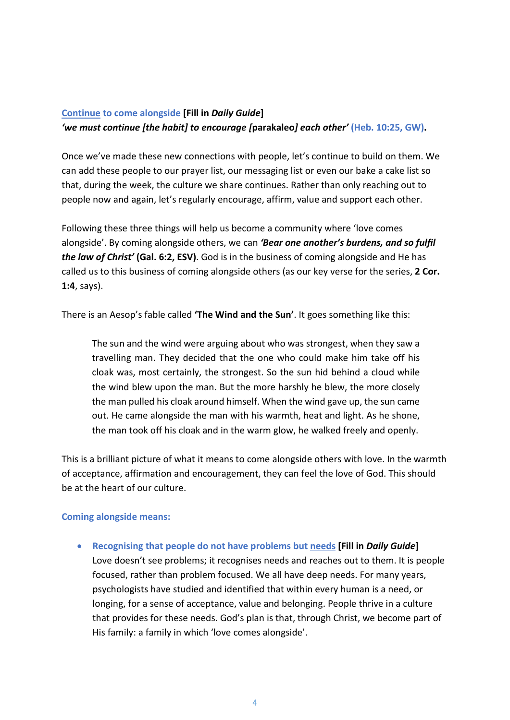# **Continue to come alongside [Fill in** *Daily Guide***]** *'we must continue [the habit] to encourage [***parakaleo***] each other'* **(Heb. 10:25, GW).**

Once we've made these new connections with people, let's continue to build on them. We can add these people to our prayer list, our messaging list or even our bake a cake list so that, during the week, the culture we share continues. Rather than only reaching out to people now and again, let's regularly encourage, affirm, value and support each other.

Following these three things will help us become a community where 'love comes alongside'. By coming alongside others, we can *'Bear one another's burdens, and so fulfil the law of Christ'* **(Gal. 6:2, ESV)**. God is in the business of coming alongside and He has called us to this business of coming alongside others (as our key verse for the series, **2 Cor. 1:4**, says).

There is an Aesop's fable called **'The Wind and the Sun'**. It goes something like this:

The sun and the wind were arguing about who was strongest, when they saw a travelling man. They decided that the one who could make him take off his cloak was, most certainly, the strongest. So the sun hid behind a cloud while the wind blew upon the man. But the more harshly he blew, the more closely the man pulled his cloak around himself. When the wind gave up, the sun came out. He came alongside the man with his warmth, heat and light. As he shone, the man took off his cloak and in the warm glow, he walked freely and openly.

This is a brilliant picture of what it means to come alongside others with love. In the warmth of acceptance, affirmation and encouragement, they can feel the love of God. This should be at the heart of our culture.

#### **Coming alongside means:**

• **Recognising that people do not have problems but needs [Fill in** *Daily Guide***]** Love doesn't see problems; it recognises needs and reaches out to them. It is people focused, rather than problem focused. We all have deep needs. For many years, psychologists have studied and identified that within every human is a need, or longing, for a sense of acceptance, value and belonging. People thrive in a culture that provides for these needs. God's plan is that, through Christ, we become part of His family: a family in which 'love comes alongside'.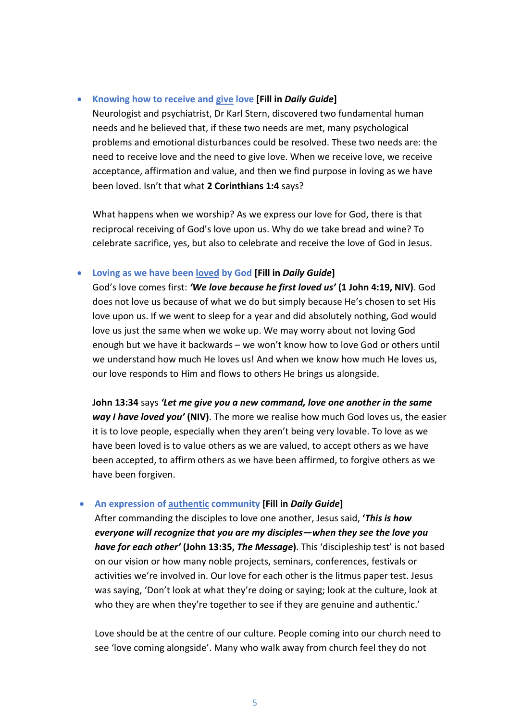#### • **Knowing how to receive and give love [Fill in** *Daily Guide***]**

Neurologist and psychiatrist, Dr Karl Stern, discovered two fundamental human needs and he believed that, if these two needs are met, many psychological problems and emotional disturbances could be resolved. These two needs are: the need to receive love and the need to give love. When we receive love, we receive acceptance, affirmation and value, and then we find purpose in loving as we have been loved. Isn't that what **2 Corinthians 1:4** says?

What happens when we worship? As we express our love for God, there is that reciprocal receiving of God's love upon us. Why do we take bread and wine? To celebrate sacrifice, yes, but also to celebrate and receive the love of God in Jesus.

#### • **Loving as we have been loved by God [Fill in** *Daily Guide***]**

God's love comes first: *'We love because he first loved us'* **(1 John 4:19, NIV)**. God does not love us because of what we do but simply because He's chosen to set His love upon us. If we went to sleep for a year and did absolutely nothing, God would love us just the same when we woke up. We may worry about not loving God enough but we have it backwards – we won't know how to love God or others until we understand how much He loves us! And when we know how much He loves us, our love responds to Him and flows to others He brings us alongside.

**John 13:34** says *'Let me give you a new command, love one another in the same way I have loved you'* **(NIV)**. The more we realise how much God loves us, the easier it is to love people, especially when they aren't being very lovable. To love as we have been loved is to value others as we are valued, to accept others as we have been accepted, to affirm others as we have been affirmed, to forgive others as we have been forgiven.

#### • **An expression of authentic community [Fill in** *Daily Guide***]**

After commanding the disciples to love one another, Jesus said, **'***This is how everyone will recognize that you are my disciples—when they see the love you have for each other'* **(John 13:35,** *The Message***)**. This 'discipleship test' is not based on our vision or how many noble projects, seminars, conferences, festivals or activities we're involved in. Our love for each other is the litmus paper test. Jesus was saying, 'Don't look at what they're doing or saying; look at the culture, look at who they are when they're together to see if they are genuine and authentic.'

Love should be at the centre of our culture. People coming into our church need to see 'love coming alongside'. Many who walk away from church feel they do not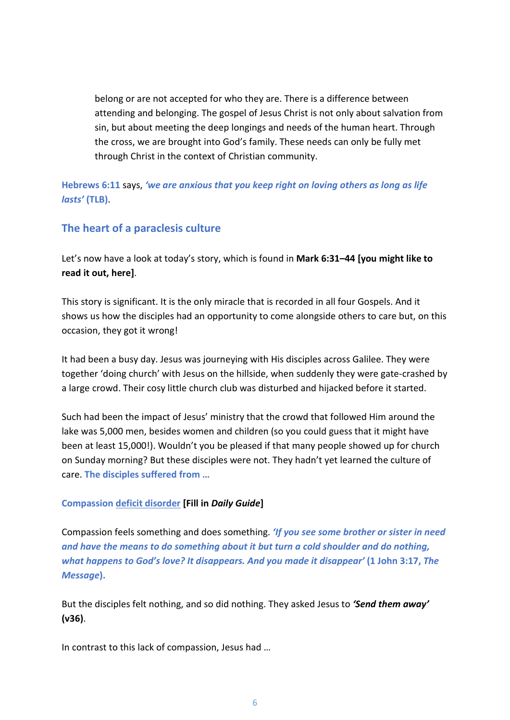belong or are not accepted for who they are. There is a difference between attending and belonging. The gospel of Jesus Christ is not only about salvation from sin, but about meeting the deep longings and needs of the human heart. Through the cross, we are brought into God's family. These needs can only be fully met through Christ in the context of Christian community.

**Hebrews 6:11** says, *'we are anxious that you keep right on loving others as long as life lasts'* **(TLB)**.

# **The heart of a paraclesis culture**

Let's now have a look at today's story, which is found in **Mark 6:31–44 [you might like to read it out, here]**.

This story is significant. It is the only miracle that is recorded in all four Gospels. And it shows us how the disciples had an opportunity to come alongside others to care but, on this occasion, they got it wrong!

It had been a busy day. Jesus was journeying with His disciples across Galilee. They were together 'doing church' with Jesus on the hillside, when suddenly they were gate-crashed by a large crowd. Their cosy little church club was disturbed and hijacked before it started.

Such had been the impact of Jesus' ministry that the crowd that followed Him around the lake was 5,000 men, besides women and children (so you could guess that it might have been at least 15,000!). Wouldn't you be pleased if that many people showed up for church on Sunday morning? But these disciples were not. They hadn't yet learned the culture of care. **The disciples suffered from …**

#### **Compassion deficit disorder [Fill in** *Daily Guide***]**

Compassion feels something and does something. *'If you see some brother or sister in need and have the means to do something about it but turn a cold shoulder and do nothing, what happens to God's love? It disappears. And you made it disappear'* **(1 John 3:17,** *The Message***).**

But the disciples felt nothing, and so did nothing. They asked Jesus to *'Send them away'* **(v36)**.

In contrast to this lack of compassion, Jesus had …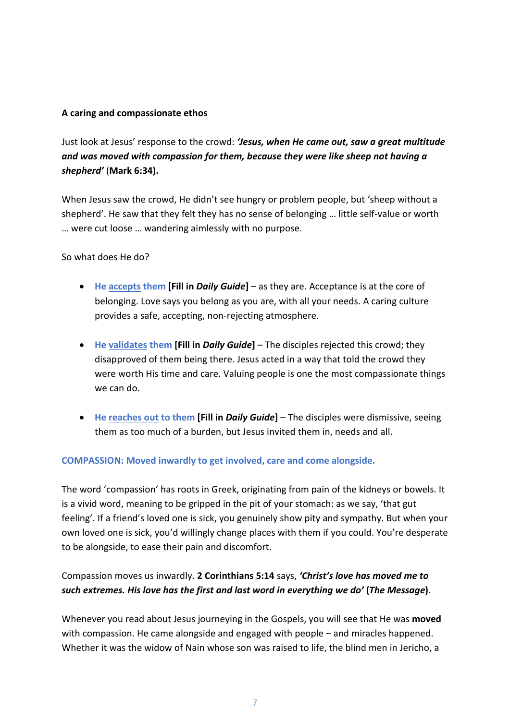#### **A caring and compassionate ethos**

Just look at Jesus' response to the crowd: *'Jesus, when He came out, saw a great multitude and was moved with compassion for them, because they were like sheep not having a shepherd'* (**Mark 6:34).**

When Jesus saw the crowd, He didn't see hungry or problem people, but 'sheep without a shepherd'. He saw that they felt they has no sense of belonging … little self-value or worth … were cut loose … wandering aimlessly with no purpose.

So what does He do?

- **He accepts them [Fill in** *Daily Guide***]**  as they are. Acceptance is at the core of belonging. Love says you belong as you are, with all your needs. A caring culture provides a safe, accepting, non-rejecting atmosphere.
- **He validates them [Fill in** *Daily Guide***]**  The disciples rejected this crowd; they disapproved of them being there. Jesus acted in a way that told the crowd they were worth His time and care. Valuing people is one the most compassionate things we can do.
- **He reaches out to them [Fill in** *Daily Guide***]**  The disciples were dismissive, seeing them as too much of a burden, but Jesus invited them in, needs and all.

#### **COMPASSION: Moved inwardly to get involved, care and come alongside.**

The word 'compassion' has roots in Greek, originating from pain of the kidneys or bowels. It is a vivid word, meaning to be gripped in the pit of your stomach: as we say, 'that gut feeling'. If a friend's loved one is sick, you genuinely show pity and sympathy. But when your own loved one is sick, you'd willingly change places with them if you could. You're desperate to be alongside, to ease their pain and discomfort.

# Compassion moves us inwardly. **2 Corinthians 5:14** says, *'Christ's love has moved me to such extremes. His love has the first and last word in everything we do'* **(***The Message***)**.

Whenever you read about Jesus journeying in the Gospels, you will see that He was **moved**  with compassion. He came alongside and engaged with people – and miracles happened. Whether it was the widow of Nain whose son was raised to life, the blind men in Jericho, a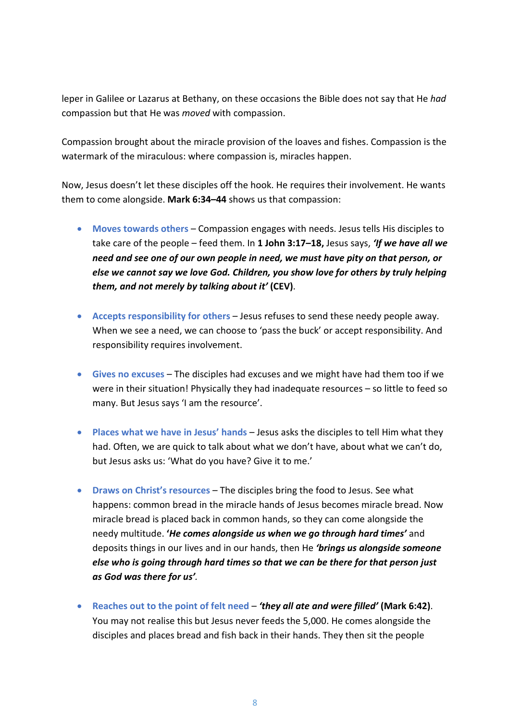leper in Galilee or Lazarus at Bethany, on these occasions the Bible does not say that He *had*  compassion but that He was *moved* with compassion.

Compassion brought about the miracle provision of the loaves and fishes. Compassion is the watermark of the miraculous: where compassion is, miracles happen.

Now, Jesus doesn't let these disciples off the hook. He requires their involvement. He wants them to come alongside. **Mark 6:34–44** shows us that compassion:

- **Moves towards others** Compassion engages with needs. Jesus tells His disciples to take care of the people – feed them. In **1 John 3:17–18,** Jesus says, *'If we have all we need and see one of our own people in need, we must have pity on that person, or else we cannot say we love God. Children, you show love for others by truly helping them, and not merely by talking about it'* **(CEV)**.
- **Accepts responsibility for others** Jesus refuses to send these needy people away. When we see a need, we can choose to 'pass the buck' or accept responsibility. And responsibility requires involvement.
- **Gives no excuses** The disciples had excuses and we might have had them too if we were in their situation! Physically they had inadequate resources – so little to feed so many. But Jesus says 'I am the resource'.
- **Places what we have in Jesus' hands** Jesus asks the disciples to tell Him what they had. Often, we are quick to talk about what we don't have, about what we can't do, but Jesus asks us: 'What do you have? Give it to me.'
- **Draws on Christ's resources** The disciples bring the food to Jesus. See what happens: common bread in the miracle hands of Jesus becomes miracle bread. Now miracle bread is placed back in common hands, so they can come alongside the needy multitude. **'***He comes alongside us when we go through hard times'* and deposits things in our lives and in our hands, then He *'brings us alongside someone else who is going through hard times so that we can be there for that person just as God was there for us'.*
- **Reaches out to the point of felt need** *'they all ate and were filled'* **(Mark 6:42)**. You may not realise this but Jesus never feeds the 5,000. He comes alongside the disciples and places bread and fish back in their hands. They then sit the people